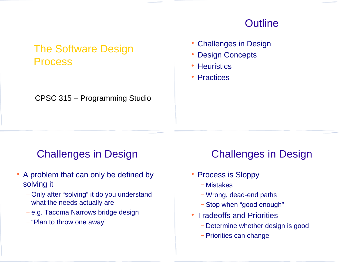#### **Outline**

## The Software Design Process

CPSC 315 – Programming Studio

- Challenges in Design
- Design Concepts
- Heuristics
- Practices

### Challenges in Design

- A problem that can only be defined by solving it
	- − Only after "solving" it do you understand what the needs actually are
	- − e.g. Tacoma Narrows bridge design
	- − "Plan to throw one away"

## Challenges in Design

- Process is Sloppy
	- − Mistakes
	- − Wrong, dead-end paths
	- − Stop when "good enough"
- Tradeoffs and Priorities
	- − Determine whether design is good
	- − Priorities can change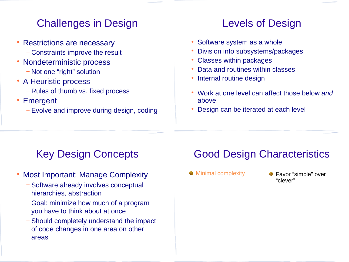## Challenges in Design

- Restrictions are necessary
	- − Constraints improve the result
- Nondeterministic process
	- − Not one "right" solution
- A Heuristic process
	- − Rules of thumb vs. fixed process
- Emergent
	- − Evolve and improve during design, coding

### Levels of Design

- Software system as a whole
- Division into subsystems/packages
- Classes within packages
- Data and routines within classes
- Internal routine design
- Work at one level can affect those below *and* above.
- Design can be iterated at each level

# Key Design Concepts

- Most Important: Manage Complexity
	- − Software already involves conceptual hierarchies, abstraction
	- − Goal: minimize how much of a program you have to think about at once
	- − Should completely understand the impact of code changes in one area on other areas

## Good Design Characteristics

- 
- Minimal complexity Favor "simple" over "clever"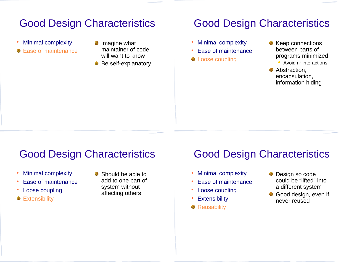## Good Design Characteristics

- Minimal complexity
- Ease of maintenance
- Imagine what maintainer of code will want to know
- Be self-explanatory

#### Good Design Characteristics

- Minimal complexity
- Ease of maintenance
- **Loose coupling**
- Keep connections between parts of programs minimized
	- Avoid n<sup>2</sup> interactions!
- Abstraction. encapsulation, information hiding

### Good Design Characteristics

- Minimal complexity
- Ease of maintenance
- Loose coupling
- **Extensibility**

Should be able to add to one part of system without affecting others

### Good Design Characteristics

- Minimal complexity
- Ease of maintenance
- Loose coupling
- Extensibility
- **•** Reusability
- **Design so code** could be "lifted" into a different system
- Good design, even if never reused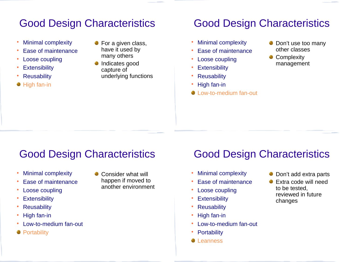## Good Design Characteristics

- Minimal complexity
- Ease of maintenance
- Loose coupling
- **Extensibility**
- **Reusability**
- High fan-in
- For a given class, have it used by many others
- Indicates good capture of underlying functions

## Good Design Characteristics

- Minimal complexity
- Ease of maintenance
- Loose coupling
- **Extensibility**
- Reusability
- High fan-in
- Low-to-medium fan-out
- Don't use too many other classes
- Complexity management

## Good Design Characteristics

- Minimal complexity
- Ease of maintenance
- Loose coupling
- Extensibility
- Reusability
- High fan-in
- Low-to-medium fan-out
- **Portability**

Consider what will happen if moved to another environment

## Good Design Characteristics

- Minimal complexity
- Ease of maintenance
- Loose coupling
- Extensibility
- Reusability
- High fan-in
- Low-to-medium fan-out
- **Portability**
- **C** Leanness
- Don't add extra parts
- Extra code will need to be tested, reviewed in future changes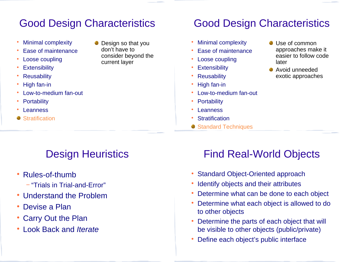## Good Design Characteristics

- Minimal complexity
- Ease of maintenance
- Loose coupling
- **Extensibility**
- Reusability
- High fan-in
- Low-to-medium fan-out
- **Portability**
- **Leanness**
- **Stratification**

Design so that you don't have to consider beyond the current layer

## Good Design Characteristics

- Minimal complexity
- Ease of maintenance
- Loose coupling
- Extensibility
- Reusability
- High fan-in
- Low-to-medium fan-out
- Portability
- Leanness
- **Stratification**
- Standard Techniques
- Use of common approaches make it easier to follow code later
- Avoid unneeded exotic approaches

## Design Heuristics

- Rules-of-thumb
	- − "Trials in Trial-and-Error"
- Understand the Problem
- Devise a Plan
- Carry Out the Plan
- Look Back and *Iterate*

## Find Real-World Objects

- Standard Object-Oriented approach
- Identify objects and their attributes
- Determine what can be done to each object
- Determine what each object is allowed to do to other objects
- Determine the parts of each object that will be visible to other objects (public/private)
- Define each object's public interface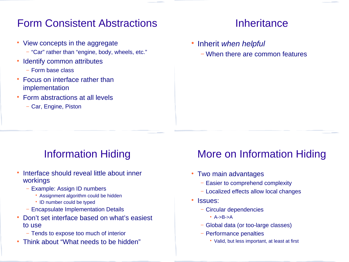### Form Consistent Abstractions

- View concepts in the aggregate
	- − "Car" rather than "engine, body, wheels, etc."
- Identify common attributes
	- − Form base class
- Focus on interface rather than implementation
- Form abstractions at all levels
	- − Car, Engine, Piston

#### **Inheritance**

- Inherit *when helpful*
	- − When there are common features

## Information Hiding

- Interface should reveal little about inner workings
	- − Example: Assign ID numbers
		- Assignment algorithm could be hidden
		- ID number could be typed
	- − Encapsulate Implementation Details
- Don't set interface based on what's easiest to use
	- − Tends to expose too much of interior
- Think about "What needs to be hidden"

## More on Information Hiding

- Two main advantages
	- − Easier to comprehend complexity
	- − Localized effects allow local changes
- Issues:
	- − Circular dependencies
		- $A->B->A$
	- − Global data (or too-large classes)
	- − Performance penalties
		- Valid, but less important, at least at first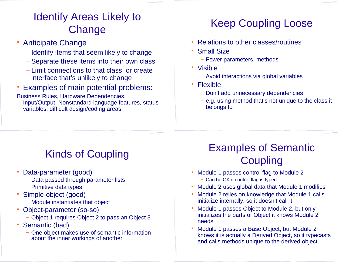# Identify Areas Likely to **Change**

- Anticipate Change
	- − Identify items that seem likely to change
	- − Separate these items into their own class
	- − Limit connections to that class, or create interface that's unlikely to change
- Examples of main potential problems:

Business Rules, Hardware Dependencies, Input/Output, Nonstandard language features, status variables, difficult design/coding areas

# Keep Coupling Loose

- Relations to other classes/routines
- Small Size
	- − Fewer parameters, methods
- Visible
	- − Avoid interactions via global variables
- Flexible
	- − Don't add unnecessary dependencies
	- − e.g. using method that's not unique to the class it belongs to

# Kinds of Coupling

- Data-parameter (good)
	- − Data passed through parameter lists
	- − Primitive data types
- Simple-object (good)
	- − Module instantiates that object
- Object-parameter (so-so)
	- − Object 1 requires Object 2 to pass an Object 3
- Semantic (bad)
	- − One object makes use of semantic information about the inner workings of another

## Examples of Semantic **Coupling**

- Module 1 passes control flag to Module 2
	- − Can be OK if control flag is typed
- Module 2 uses global data that Module 1 modifies
- Module 2 relies on knowledge that Module 1 calls initialize internally, so it doesn't call it
- Module 1 passes Object to Module 2, but only initializes the parts of Object it knows Module 2 needs
- Module 1 passes a Base Object, but Module 2 knows it is actually a Derived Object, so it typecasts and calls methods unique to the derived object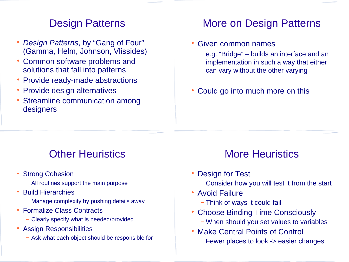#### Design Patterns

- *Design Patterns*, by "Gang of Four" (Gamma, Helm, Johnson, Vlissides)
- Common software problems and solutions that fall into patterns
- Provide ready-made abstractions
- Provide design alternatives
- Streamline communication among designers

#### More on Design Patterns

- Given common names
	- − e.g. "Bridge" builds an interface and an implementation in such a way that either can vary without the other varying
- Could go into much more on this

#### Other Heuristics

- Strong Cohesion
	- − All routines support the main purpose
- Build Hierarchies
	- − Manage complexity by pushing details away
- Formalize Class Contracts
	- − Clearly specify what is needed/provided
- Assign Responsibilities
	- − Ask what each object should be responsible for

### More Heuristics

- Design for Test
	- − Consider how you will test it from the start
- Avoid Failure
	- − Think of ways it could fail
- Choose Binding Time Consciously
	- − When should you set values to variables
- Make Central Points of Control
	- − Fewer places to look -> easier changes